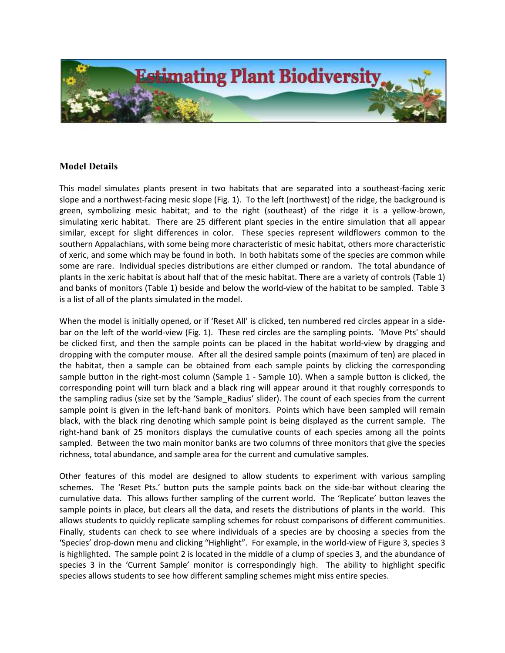

## Model Details

This model simulates plants present in two habitats that are separated into a southeast-facing xeric slope and a northwest-facing mesic slope (Fig. 1). To the left (northwest) of the ridge, the background is green, symbolizing mesic habitat; and to the right (southeast) of the ridge it is a yellow-brown, simulating xeric habitat. There are 25 different plant species in the entire simulation that all appear similar, except for slight differences in color. These species represent wildflowers common to the southern Appalachians, with some being more characteristic of mesic habitat, others more characteristic of xeric, and some which may be found in both. In both habitats some of the species are common while some are rare. Individual species distributions are either clumped or random. The total abundance of plants in the xeric habitat is about half that of the mesic habitat. There are a variety of controls (Table 1) and banks of monitors (Table 1) beside and below the world-view of the habitat to be sampled. Table 3 is a list of all of the plants simulated in the model.

When the model is initially opened, or if 'Reset All' is clicked, ten numbered red circles appear in a sidebar on the left of the world-view (Fig. 1). These red circles are the sampling points. 'Move Pts' should be clicked first, and then the sample points can be placed in the habitat world-view by dragging and dropping with the computer mouse. After all the desired sample points (maximum of ten) are placed in the habitat, then a sample can be obtained from each sample points by clicking the corresponding sample button in the right-most column (Sample 1 - Sample 10). When a sample button is clicked, the corresponding point will turn black and a black ring will appear around it that roughly corresponds to the sampling radius (size set by the 'Sample\_Radius' slider). The count of each species from the current sample point is given in the left-hand bank of monitors. Points which have been sampled will remain black, with the black ring denoting which sample point is being displayed as the current sample. The right-hand bank of 25 monitors displays the cumulative counts of each species among all the points sampled. Between the two main monitor banks are two columns of three monitors that give the species richness, total abundance, and sample area for the current and cumulative samples.

Other features of this model are designed to allow students to experiment with various sampling schemes. The 'Reset Pts.' button puts the sample points back on the side-bar without clearing the cumulative data. This allows further sampling of the current world. The 'Replicate' button leaves the sample points in place, but clears all the data, and resets the distributions of plants in the world. This allows students to quickly replicate sampling schemes for robust comparisons of different communities. Finally, students can check to see where individuals of a species are by choosing a species from the 'Species' drop-down menu and clicking "Highlight". For example, in the world-view of Figure 3, species 3 is highlighted. The sample point 2 is located in the middle of a clump of species 3, and the abundance of species 3 in the 'Current Sample' monitor is correspondingly high. The ability to highlight specific species allows students to see how different sampling schemes might miss entire species.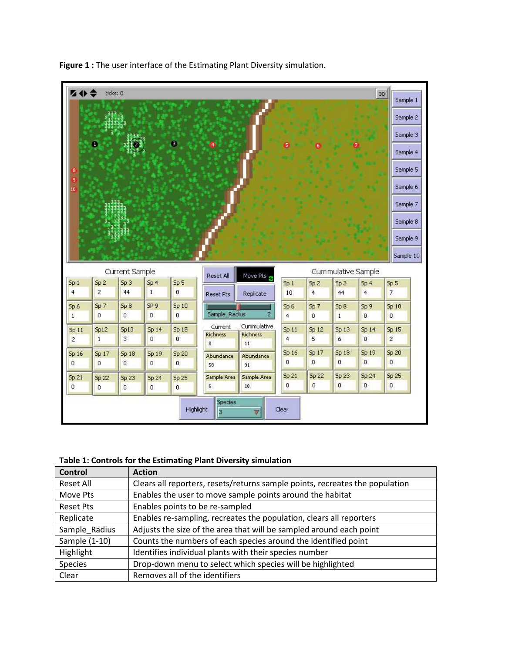

Figure 1 : The user interface of the Estimating Plant Diversity simulation.

## Table 1: Controls for the Estimating Plant Diversity simulation

| <b>Control</b>   | <b>Action</b>                                                                |
|------------------|------------------------------------------------------------------------------|
| Reset All        | Clears all reporters, resets/returns sample points, recreates the population |
| Move Pts         | Enables the user to move sample points around the habitat                    |
| <b>Reset Pts</b> | Enables points to be re-sampled                                              |
| Replicate        | Enables re-sampling, recreates the population, clears all reporters          |
| Sample Radius    | Adjusts the size of the area that will be sampled around each point          |
| Sample (1-10)    | Counts the numbers of each species around the identified point               |
| Highlight        | Identifies individual plants with their species number                       |
| Species          | Drop-down menu to select which species will be highlighted                   |
| Clear            | Removes all of the identifiers                                               |